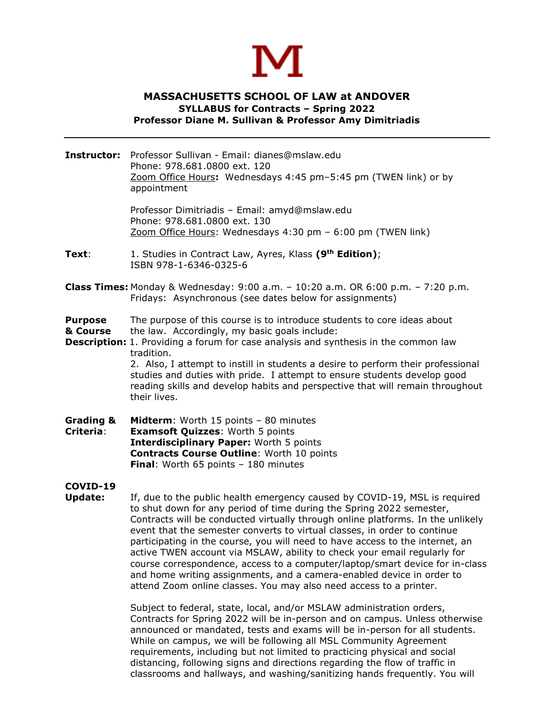

## **MASSACHUSETTS SCHOOL OF LAW at ANDOVER SYLLABUS for Contracts – Spring 2022 Professor Diane M. Sullivan & Professor Amy Dimitriadis**

**Instructor:** Professor Sullivan - Email: [dianes@mslaw.edu](mailto:dianes@mslaw.edu) Phone: 978.681.0800 ext. 120 Zoom Office Hours**:** Wednesdays 4:45 pm–5:45 pm (TWEN link) or by appointment

> Professor Dimitriadis – Email: [amyd@mslaw.edu](mailto:amyd@mslaw.edu) Phone: 978.681.0800 ext. 130 Zoom Office Hours: Wednesdays 4:30 pm – 6:00 pm (TWEN link)

- **Text**: 1. Studies in Contract Law, Ayres, Klass **(9th Edition)**; ISBN 978-1-6346-0325-6
- **Class Times:** Monday & Wednesday: 9:00 a.m. 10:20 a.m. OR 6:00 p.m. 7:20 p.m. Fridays: Asynchronous (see dates below for assignments)
- **Purpose** The purpose of this course is to introduce students to core ideas about
- **& Course** the law. Accordingly, my basic goals include:
- **Description:** 1. Providing a forum for case analysis and synthesis in the common law tradition.

2. Also, I attempt to instill in students a desire to perform their professional studies and duties with pride. I attempt to ensure students develop good reading skills and develop habits and perspective that will remain throughout their lives.

**Grading & Midterm**: Worth 15 points – 80 minutes **Criteria**: **Examsoft Quizzes**: Worth 5 points **Interdisciplinary Paper:** Worth 5 points **Contracts Course Outline**: Worth 10 points **Final**: Worth 65 points – 180 minutes

## **COVID-19**

**Update:** If, due to the public health emergency caused by COVID-19, MSL is required to shut down for any period of time during the Spring 2022 semester, Contracts will be conducted virtually through online platforms. In the unlikely event that the semester converts to virtual classes, in order to continue participating in the course, you will need to have access to the internet, an active TWEN account via MSLAW, ability to check your email regularly for course correspondence, access to a computer/laptop/smart device for in-class and home writing assignments, and a camera-enabled device in order to attend Zoom online classes. You may also need access to a printer.

> Subject to federal, state, local, and/or MSLAW administration orders, Contracts for Spring 2022 will be in-person and on campus. Unless otherwise announced or mandated, tests and exams will be in-person for all students. While on campus, we will be following all MSL Community Agreement requirements, including but not limited to practicing physical and social distancing, following signs and directions regarding the flow of traffic in classrooms and hallways, and washing/sanitizing hands frequently. You will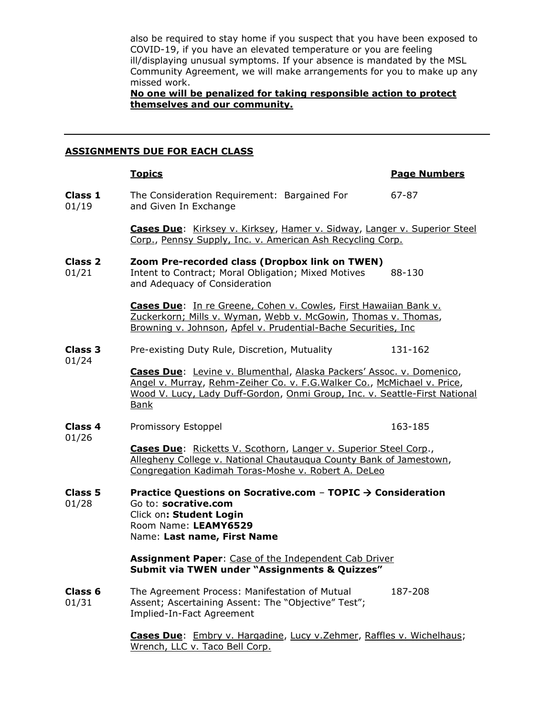also be required to stay home if you suspect that you have been exposed to COVID-19, if you have an elevated temperature or you are feeling ill/displaying unusual symptoms. If your absence is mandated by the MSL Community Agreement, we will make arrangements for you to make up any missed work.

## **No one will be penalized for taking responsible action to protect themselves and our community.**

### **ASSIGNMENTS DUE FOR EACH CLASS**

|                             | <b>Topics</b>                                                                                                                                                                                                                          | <b>Page Numbers</b> |  |
|-----------------------------|----------------------------------------------------------------------------------------------------------------------------------------------------------------------------------------------------------------------------------------|---------------------|--|
| Class 1<br>01/19            | The Consideration Requirement: Bargained For<br>and Given In Exchange                                                                                                                                                                  | 67-87               |  |
|                             | Cases Due: Kirksey v. Kirksey, Hamer v. Sidway, Langer v. Superior Steel<br>Corp., Pennsy Supply, Inc. v. American Ash Recycling Corp.                                                                                                 |                     |  |
| Class <sub>2</sub><br>01/21 | Zoom Pre-recorded class (Dropbox link on TWEN)<br>Intent to Contract; Moral Obligation; Mixed Motives<br>and Adequacy of Consideration                                                                                                 | 88-130              |  |
|                             | Cases Due: In re Greene, Cohen v. Cowles, First Hawaiian Bank v.<br>Zuckerkorn; Mills v. Wyman, Webb v. McGowin, Thomas v. Thomas,<br>Browning v. Johnson, Apfel v. Prudential-Bache Securities, Inc.                                  |                     |  |
| <b>Class 3</b><br>01/24     | Pre-existing Duty Rule, Discretion, Mutuality                                                                                                                                                                                          | 131-162             |  |
|                             | Cases Due: Levine v. Blumenthal, Alaska Packers' Assoc. v. Domenico,<br>Angel v. Murray, Rehm-Zeiher Co. v. F.G. Walker Co., McMichael v. Price,<br>Wood V. Lucy, Lady Duff-Gordon, Onmi Group, Inc. v. Seattle-First National<br>Bank |                     |  |
| <b>Class 4</b><br>01/26     | Promissory Estoppel                                                                                                                                                                                                                    | 163-185             |  |
|                             | Cases Due: Ricketts V. Scothorn, Langer v. Superior Steel Corp.,<br>Allegheny College v. National Chautaugua County Bank of Jamestown,<br>Congregation Kadimah Toras-Moshe v. Robert A. DeLeo                                          |                     |  |
| <b>Class 5</b><br>01/28     | Practice Questions on Socrative.com - TOPIC $\rightarrow$ Consideration<br>Go to: socrative.com<br>Click on: Student Login<br>Room Name: LEAMY6529<br>Name: Last name, First Name                                                      |                     |  |
|                             | Assignment Paper: Case of the Independent Cab Driver<br>Submit via TWEN under "Assignments & Quizzes"                                                                                                                                  |                     |  |
| Class <sub>6</sub><br>01/31 | The Agreement Process: Manifestation of Mutual<br>Assent; Ascertaining Assent: The "Objective" Test";<br>Implied-In-Fact Agreement                                                                                                     | 187-208             |  |
|                             | Cases Due: Embry v. Hargadine, Lucy v. Zehmer, Raffles v. Wichelhaus;<br>Wrench, LLC v. Taco Bell Corp.                                                                                                                                |                     |  |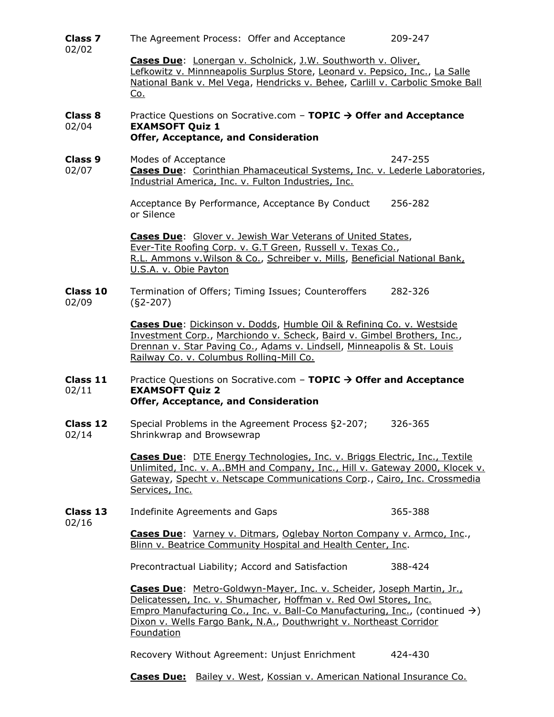| <b>Class 7</b><br>02/02 | The Agreement Process: Offer and Acceptance                                                                                                                                                                                                                           | 209-247 |  |
|-------------------------|-----------------------------------------------------------------------------------------------------------------------------------------------------------------------------------------------------------------------------------------------------------------------|---------|--|
|                         | Cases Due: Lonergan v. Scholnick, J.W. Southworth v. Oliver,<br>Lefkowitz v. Minnneapolis Surplus Store, Leonard v. Pepsico, Inc., La Salle<br>National Bank v. Mel Vega, Hendricks v. Behee, Carlill v. Carbolic Smoke Ball<br><u>Co.</u>                            |         |  |
| Class 8<br>02/04        | Practice Questions on Socrative.com - TOPIC $\rightarrow$ Offer and Acceptance<br><b>EXAMSOFT Quiz 1</b><br>Offer, Acceptance, and Consideration                                                                                                                      |         |  |
| Class 9<br>02/07        | Modes of Acceptance<br><b>Cases Due:</b> Corinthian Phamaceutical Systems, Inc. v. Lederle Laboratories,<br>Industrial America, Inc. v. Fulton Industries, Inc.                                                                                                       | 247-255 |  |
|                         | Acceptance By Performance, Acceptance By Conduct<br>or Silence                                                                                                                                                                                                        | 256-282 |  |
|                         | Cases Due: Glover v. Jewish War Veterans of United States,<br>Ever-Tite Roofing Corp. v. G.T Green, Russell v. Texas Co.,<br>R.L. Ammons v. Wilson & Co., Schreiber v. Mills, Beneficial National Bank,<br>U.S.A. v. Obie Payton                                      |         |  |
| Class 10<br>02/09       | Termination of Offers; Timing Issues; Counteroffers<br>$(S2-207)$                                                                                                                                                                                                     | 282-326 |  |
|                         | Cases Due: Dickinson v. Dodds, Humble Oil & Refining Co. v. Westside<br>Investment Corp., Marchiondo v. Scheck, Baird v. Gimbel Brothers, Inc.,<br>Drennan v. Star Paving Co., Adams v. Lindsell, Minneapolis & St. Louis<br>Railway Co. v. Columbus Rolling-Mill Co. |         |  |
| Class 11<br>02/11       | Practice Questions on Socrative.com - TOPIC $\rightarrow$ Offer and Acceptance<br><b>EXAMSOFT Quiz 2</b><br>Offer, Acceptance, and Consideration                                                                                                                      |         |  |
| Class 12<br>02/14       | Special Problems in the Agreement Process §2-207;<br>Shrinkwrap and Browsewrap                                                                                                                                                                                        | 326-365 |  |
|                         | <b>Cases Due:</b> DTE Energy Technologies, Inc. v. Briggs Electric, Inc., Textile<br>Unlimited, Inc. v. A. BMH and Company, Inc., Hill v. Gateway 2000, Klocek v.<br>Gateway, Specht v. Netscape Communications Corp., Cairo, Inc. Crossmedia<br>Services, Inc.       |         |  |
| Class 13<br>02/16       | Indefinite Agreements and Gaps                                                                                                                                                                                                                                        | 365-388 |  |
|                         | <b>Cases Due:</b> Varney v. Ditmars, Oglebay Norton Company v. Armco, Inc.,<br>Blinn v. Beatrice Community Hospital and Health Center, Inc.                                                                                                                           |         |  |
|                         | Precontractual Liability; Accord and Satisfaction                                                                                                                                                                                                                     | 388-424 |  |

**Cases Due**: Metro-Goldwyn-Mayer, Inc. v. Scheider, Joseph Martin, Jr., Delicatessen, Inc. v. Shumacher, Hoffman v. Red Owl Stores, Inc. Empro Manufacturing Co., Inc. v. Ball-Co Manufacturing, Inc., (continued  $\rightarrow$ ) Dixon v. Wells Fargo Bank, N.A., Douthwright v. Northeast Corridor **Foundation** 

Recovery Without Agreement: Unjust Enrichment 424-430

**Cases Due:** Bailey v. West, Kossian v. American National Insurance Co.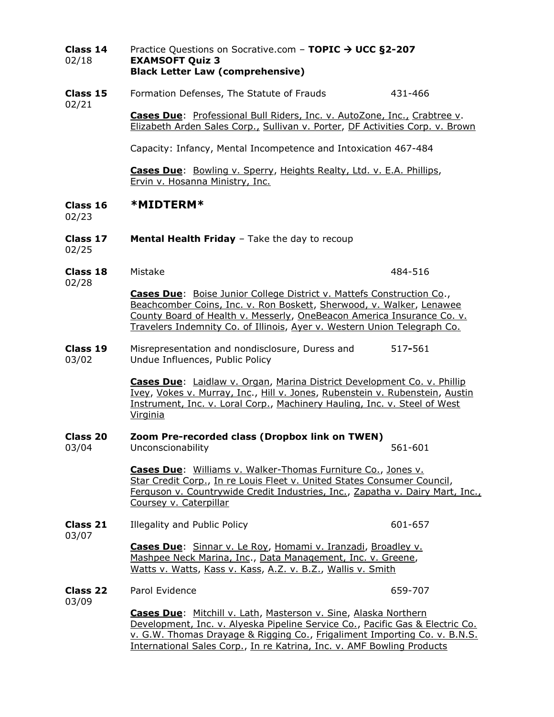#### **Class 14** Practice Questions on Socrative.com – **TOPIC** → **UCC §2-207** 02/18 **EXAMSOFT Quiz 3 Black Letter Law (comprehensive)**

**Class 15** Formation Defenses, The Statute of Frauds 431-466 02/21 **Cases Due**: Professional Bull Riders, Inc. v. AutoZone, Inc., Crabtree v.

Elizabeth Arden Sales Corp., Sullivan v. Porter, DF Activities Corp. v. Brown

Capacity: Infancy, Mental Incompetence and Intoxication 467-484

**Cases Due**: Bowling v. Sperry, Heights Realty, Ltd. v. E.A. Phillips, Ervin v. Hosanna Ministry, Inc.

**Class 16 \*MIDTERM\***

02/23

**Class 17 Mental Health Friday** – Take the day to recoup

02/25

**Class 18** Mistake 484-516

02/28

**Cases Due**: Boise Junior College District v. Mattefs Construction Co., Beachcomber Coins, Inc. v. Ron Boskett, Sherwood, v. Walker, Lenawee County Board of Health v. Messerly, OneBeacon America Insurance Co. v. Travelers Indemnity Co. of Illinois, Ayer v. Western Union Telegraph Co.

#### **Class 19** Misrepresentation and nondisclosure, Duress and 517**-**561 03/02 Undue Influences, Public Policy

**Cases Due**: Laidlaw v. Organ, Marina District Development Co. v. Phillip Ivey, Vokes v. Murray, Inc., Hill v. Jones, Rubenstein v. Rubenstein, Austin Instrument, Inc. v. Loral Corp., Machinery Hauling, Inc. v. Steel of West Virginia

#### **Class 20 Zoom Pre-recorded class (Dropbox link on TWEN)**

03/04 Unconscionability 561-601

**Cases Due**: Williams v. Walker-Thomas Furniture Co., Jones v. Star Credit Corp., In re Louis Fleet v. United States Consumer Council, Ferguson v. Countrywide Credit Industries, Inc., Zapatha v. Dairy Mart, Inc., Coursey v. Caterpillar

**Class 21** Illegality and Public Policy **601-657** 601-657

03/07

**Cases Due**: Sinnar v. Le Roy, Homami v. Iranzadi, Broadley v. Mashpee Neck Marina, Inc., Data Management, Inc. v. Greene, Watts v. Watts, Kass v. Kass, A.Z. v. B.Z., Wallis v. Smith

**Class 22** Parol Evidence **659-707** 

03/09

**Cases Due**: Mitchill v. Lath, Masterson v. Sine, Alaska Northern Development, Inc. v. Alyeska Pipeline Service Co., Pacific Gas & Electric Co. v. G.W. Thomas Drayage & Rigging Co., Frigaliment Importing Co. v. B.N.S. International Sales Corp., In re Katrina, Inc. v. AMF Bowling Products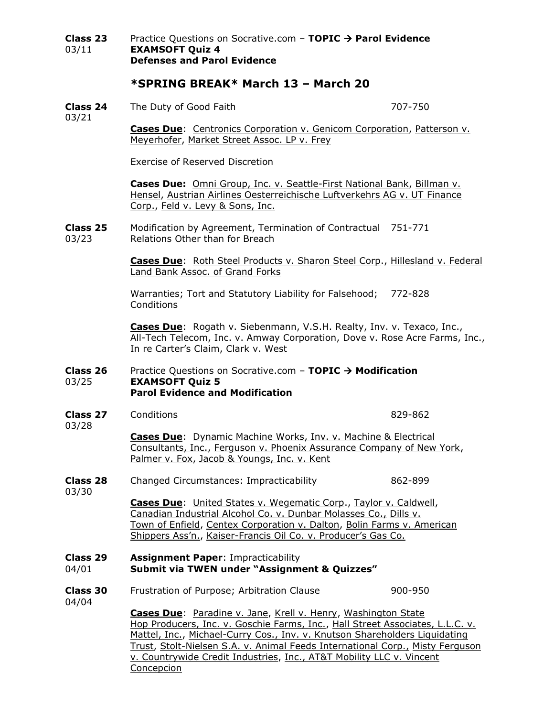**Class 23** Practice Questions on Socrative.com – **TOPIC** → **Parol Evidence** 03/11 **EXAMSOFT Quiz 4 Defenses and Parol Evidence**

## **\*SPRING BREAK\* March 13 – March 20**

**Class 24** The Duty of Good Faith 707-750

03/21

**Cases Due**: Centronics Corporation v. Genicom Corporation, Patterson v. Meyerhofer, Market Street Assoc. LP v. Frey

Exercise of Reserved Discretion

**Cases Due:** Omni Group, Inc. v. Seattle-First National Bank, Billman v. Hensel, Austrian Airlines Oesterreichische Luftverkehrs AG v. UT Finance Corp., Feld v. Levy & Sons, Inc.

**Class 25** Modification by Agreement, Termination of Contractual 751-771 03/23 Relations Other than for Breach

> **Cases Due**: Roth Steel Products v. Sharon Steel Corp., Hillesland v. Federal Land Bank Assoc. of Grand Forks

Warranties; Tort and Statutory Liability for Falsehood; 772-828 **Conditions** 

**Cases Due**: Rogath v. Siebenmann, V.S.H. Realty, Inv. v. Texaco, Inc., All-Tech Telecom, Inc. v. Amway Corporation, Dove v. Rose Acre Farms, Inc., In re Carter's Claim, Clark v. West

#### **Class 26** Practice Questions on Socrative.com – **TOPIC** → **Modification** 03/25 **EXAMSOFT Quiz 5 Parol Evidence and Modification**

**Class 27** Conditions **829-862** 

**Cases Due**: Dynamic Machine Works, Inv. v. Machine & Electrical Consultants, Inc., Ferguson v. Phoenix Assurance Company of New York. Palmer v. Fox, Jacob & Youngs, Inc. v. Kent

**Class 28** Changed Circumstances: Impracticability 862-899

03/30

03/28

**Cases Due**: United States v. Wegematic Corp., Taylor v. Caldwell, Canadian Industrial Alcohol Co. v. Dunbar Molasses Co., Dills v. Town of Enfield, Centex Corporation v. Dalton, Bolin Farms v. American Shippers Ass'n., Kaiser-Francis Oil Co. v. Producer's Gas Co.

# **Class 29 Assignment Paper**: Impracticability

# 04/01 **Submit via TWEN under "Assignment & Quizzes"**

**Class 30** Frustration of Purpose; Arbitration Clause 900-950 04/04

> **Cases Due**: Paradine v. Jane, Krell v. Henry, Washington State Hop Producers, Inc. v. Goschie Farms, Inc., Hall Street Associates, L.L.C. v. Mattel, Inc., Michael-Curry Cos., Inv. v. Knutson Shareholders Liquidating Trust, Stolt-Nielsen S.A. v. Animal Feeds International Corp., Misty Ferguson v. Countrywide Credit Industries, Inc., AT&T Mobility LLC v. Vincent **Concepcion**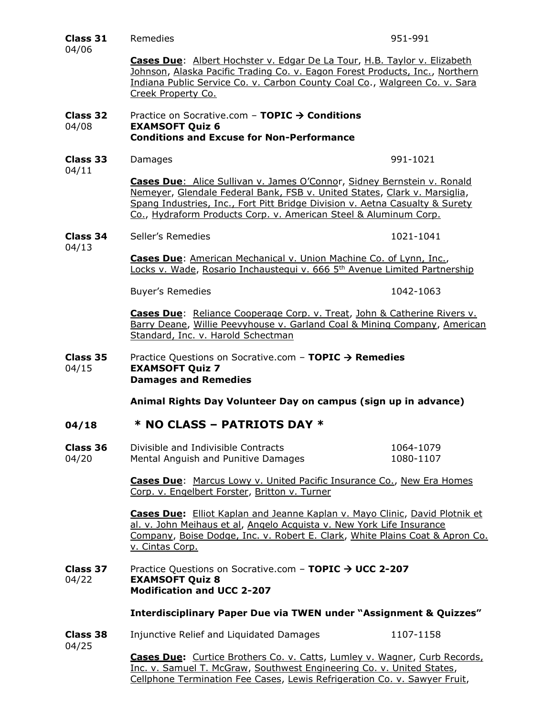| Class 31          | Remedies                                                                                                                                                                                                                                                                                                        | 951-991                |  |
|-------------------|-----------------------------------------------------------------------------------------------------------------------------------------------------------------------------------------------------------------------------------------------------------------------------------------------------------------|------------------------|--|
| 04/06             | Cases Due: Albert Hochster v. Edgar De La Tour, H.B. Taylor v. Elizabeth<br>Johnson, Alaska Pacific Trading Co. v. Eagon Forest Products, Inc., Northern<br>Indiana Public Service Co. v. Carbon County Coal Co., Walgreen Co. v. Sara<br>Creek Property Co.                                                    |                        |  |
| Class 32<br>04/08 | Practice on Socrative.com - TOPIC $\rightarrow$ Conditions<br><b>EXAMSOFT Quiz 6</b><br><b>Conditions and Excuse for Non-Performance</b>                                                                                                                                                                        |                        |  |
| Class 33<br>04/11 | Damages                                                                                                                                                                                                                                                                                                         | 991-1021               |  |
|                   | <b>Cases Due:</b> Alice Sullivan v. James O'Connor, Sidney Bernstein v. Ronald<br>Nemeyer, Glendale Federal Bank, FSB v. United States, Clark v. Marsiglia,<br>Spang Industries, Inc., Fort Pitt Bridge Division v. Aetna Casualty & Surety<br>Co., Hydraform Products Corp. v. American Steel & Aluminum Corp. |                        |  |
| Class 34<br>04/13 | Seller's Remedies                                                                                                                                                                                                                                                                                               | 1021-1041              |  |
|                   | Cases Due: American Mechanical v. Union Machine Co. of Lynn, Inc.,<br>Locks v. Wade, Rosario Inchaustegui v. 666 5 <sup>th</sup> Avenue Limited Partnership                                                                                                                                                     |                        |  |
|                   | <b>Buyer's Remedies</b>                                                                                                                                                                                                                                                                                         | 1042-1063              |  |
|                   | Cases Due: Reliance Cooperage Corp. v. Treat, John & Catherine Rivers v.<br>Barry Deane, Willie Peevyhouse v. Garland Coal & Mining Company, American<br>Standard, Inc. v. Harold Schectman                                                                                                                     |                        |  |
| Class 35<br>04/15 | Practice Questions on Socrative.com - TOPIC $\rightarrow$ Remedies<br><b>EXAMSOFT Quiz 7</b><br><b>Damages and Remedies</b>                                                                                                                                                                                     |                        |  |
|                   | Animal Rights Day Volunteer Day on campus (sign up in advance)                                                                                                                                                                                                                                                  |                        |  |
| 04/18             | * NO CLASS - PATRIOTS DAY *                                                                                                                                                                                                                                                                                     |                        |  |
| Class 36<br>04/20 | Divisible and Indivisible Contracts<br>Mental Anguish and Punitive Damages                                                                                                                                                                                                                                      | 1064-1079<br>1080-1107 |  |
|                   | Cases Due: Marcus Lowy v. United Pacific Insurance Co., New Era Homes<br>Corp. v. Engelbert Forster, Britton v. Turner                                                                                                                                                                                          |                        |  |
|                   | <b>Cases Due:</b> Elliot Kaplan and Jeanne Kaplan v. Mayo Clinic, David Plotnik et<br>al. v. John Meihaus et al, Angelo Acquista v. New York Life Insurance<br>Company, Boise Dodge, Inc. v. Robert E. Clark, White Plains Coat & Apron Co.<br>v. Cintas Corp.                                                  |                        |  |
| Class 37<br>04/22 | Practice Questions on Socrative.com - TOPIC → UCC 2-207<br><b>EXAMSOFT Quiz 8</b><br><b>Modification and UCC 2-207</b>                                                                                                                                                                                          |                        |  |
|                   | <b>Interdisciplinary Paper Due via TWEN under "Assignment &amp; Quizzes"</b>                                                                                                                                                                                                                                    |                        |  |
| Class 38          | Injunctive Relief and Liquidated Damages                                                                                                                                                                                                                                                                        | 1107-1158              |  |
| 04/25             | Cases Due: Curtice Brothers Co. v. Catts, Lumley v. Wagner, Curb Records,<br>Inc. v. Samuel T. McGraw, Southwest Engineering Co. v. United States,<br>Cellphone Termination Fee Cases, Lewis Refrigeration Co. v. Sawyer Fruit,                                                                                 |                        |  |